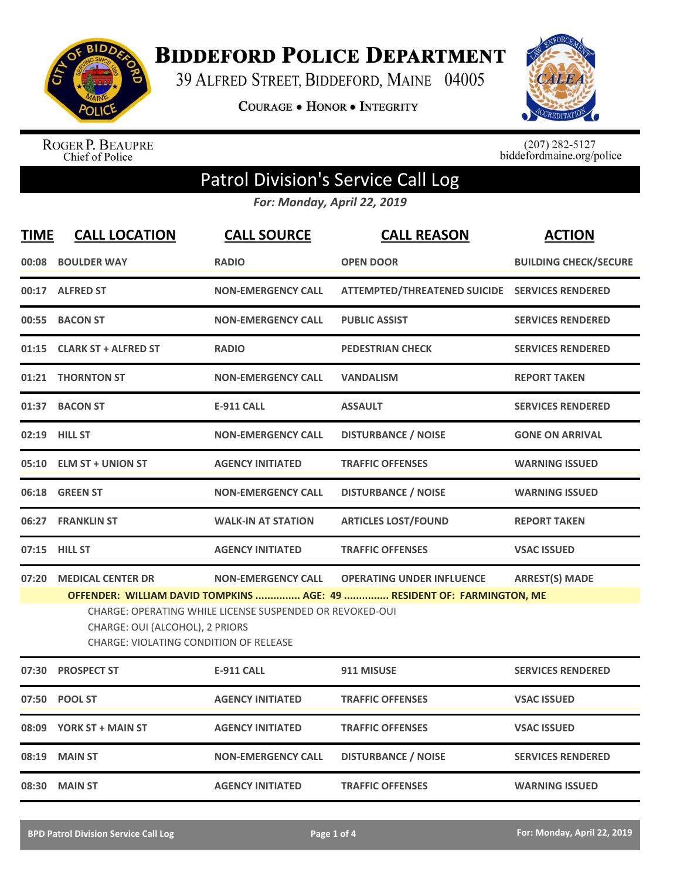

**BIDDEFORD POLICE DEPARTMENT** 

39 ALFRED STREET, BIDDEFORD, MAINE 04005

**COURAGE . HONOR . INTEGRITY** 



ROGER P. BEAUPRE<br>Chief of Police

 $(207)$  282-5127<br>biddefordmaine.org/police

## Patrol Division's Service Call Log

*For: Monday, April 22, 2019*

| <b>TIME</b> | <b>CALL LOCATION</b>                                                                                                                                                                                            | <b>CALL SOURCE</b>        | <b>CALL REASON</b>                             | <b>ACTION</b>                |
|-------------|-----------------------------------------------------------------------------------------------------------------------------------------------------------------------------------------------------------------|---------------------------|------------------------------------------------|------------------------------|
| 00:08       | <b>BOULDER WAY</b>                                                                                                                                                                                              | <b>RADIO</b>              | <b>OPEN DOOR</b>                               | <b>BUILDING CHECK/SECURE</b> |
|             | 00:17 ALFRED ST                                                                                                                                                                                                 | <b>NON-EMERGENCY CALL</b> | ATTEMPTED/THREATENED SUICIDE SERVICES RENDERED |                              |
| 00:55       | <b>BACON ST</b>                                                                                                                                                                                                 | <b>NON-EMERGENCY CALL</b> | <b>PUBLIC ASSIST</b>                           | <b>SERVICES RENDERED</b>     |
|             | 01:15 CLARK ST + ALFRED ST                                                                                                                                                                                      | <b>RADIO</b>              | <b>PEDESTRIAN CHECK</b>                        | <b>SERVICES RENDERED</b>     |
|             | 01:21 THORNTON ST                                                                                                                                                                                               | <b>NON-EMERGENCY CALL</b> | <b>VANDALISM</b>                               | <b>REPORT TAKEN</b>          |
|             | 01:37 BACON ST                                                                                                                                                                                                  | <b>E-911 CALL</b>         | <b>ASSAULT</b>                                 | <b>SERVICES RENDERED</b>     |
|             | 02:19 HILL ST                                                                                                                                                                                                   | <b>NON-EMERGENCY CALL</b> | <b>DISTURBANCE / NOISE</b>                     | <b>GONE ON ARRIVAL</b>       |
|             | 05:10 ELM ST + UNION ST                                                                                                                                                                                         | <b>AGENCY INITIATED</b>   | <b>TRAFFIC OFFENSES</b>                        | <b>WARNING ISSUED</b>        |
| 06:18       | <b>GREEN ST</b>                                                                                                                                                                                                 | <b>NON-EMERGENCY CALL</b> | <b>DISTURBANCE / NOISE</b>                     | <b>WARNING ISSUED</b>        |
|             | 06:27 FRANKLIN ST                                                                                                                                                                                               | <b>WALK-IN AT STATION</b> | <b>ARTICLES LOST/FOUND</b>                     | <b>REPORT TAKEN</b>          |
| 07:15       | <b>HILL ST</b>                                                                                                                                                                                                  | <b>AGENCY INITIATED</b>   | <b>TRAFFIC OFFENSES</b>                        | <b>VSAC ISSUED</b>           |
| 07:20       | <b>MEDICAL CENTER DR</b>                                                                                                                                                                                        | <b>NON-EMERGENCY CALL</b> | <b>OPERATING UNDER INFLUENCE</b>               | <b>ARREST(S) MADE</b>        |
|             | OFFENDER: WILLIAM DAVID TOMPKINS  AGE: 49  RESIDENT OF: FARMINGTON, ME<br>CHARGE: OPERATING WHILE LICENSE SUSPENDED OR REVOKED-OUI<br>CHARGE: OUI (ALCOHOL), 2 PRIORS<br>CHARGE: VIOLATING CONDITION OF RELEASE |                           |                                                |                              |
| 07:30       | <b>PROSPECT ST</b>                                                                                                                                                                                              | <b>E-911 CALL</b>         | 911 MISUSE                                     | <b>SERVICES RENDERED</b>     |
| 07:50       | <b>POOL ST</b>                                                                                                                                                                                                  | <b>AGENCY INITIATED</b>   | <b>TRAFFIC OFFENSES</b>                        | <b>VSAC ISSUED</b>           |
|             | 08:09 YORK ST + MAIN ST                                                                                                                                                                                         | <b>AGENCY INITIATED</b>   | <b>TRAFFIC OFFENSES</b>                        | <b>VSAC ISSUED</b>           |
| 08:19       | <b>MAIN ST</b>                                                                                                                                                                                                  | <b>NON-EMERGENCY CALL</b> | <b>DISTURBANCE / NOISE</b>                     | <b>SERVICES RENDERED</b>     |
|             | 08:30 MAIN ST                                                                                                                                                                                                   | <b>AGENCY INITIATED</b>   | <b>TRAFFIC OFFENSES</b>                        | <b>WARNING ISSUED</b>        |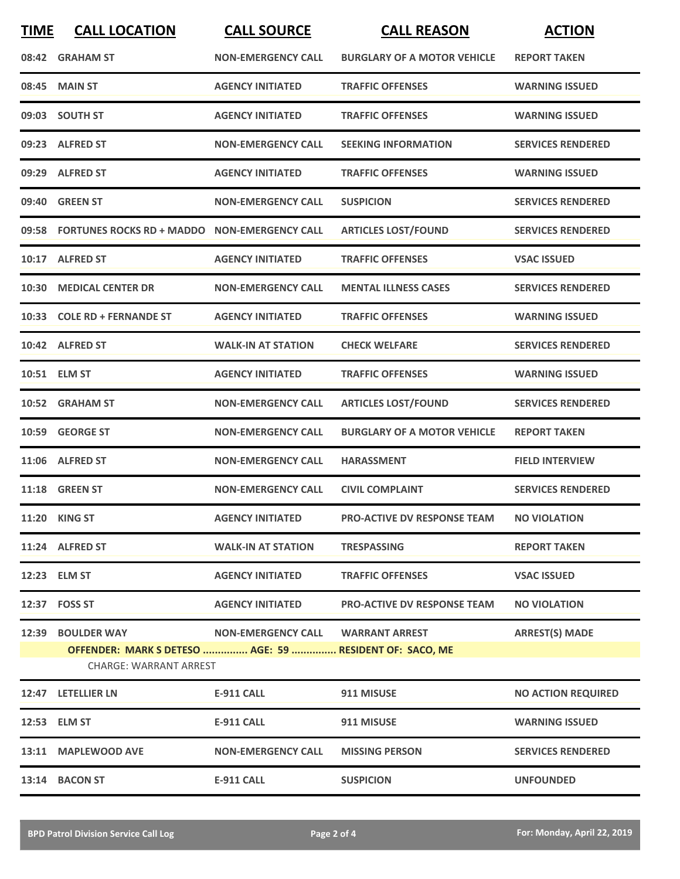| <b>TIME</b> | <b>CALL LOCATION</b>                                                                                          | <b>CALL SOURCE</b>        | <b>CALL REASON</b>                 | <b>ACTION</b>             |
|-------------|---------------------------------------------------------------------------------------------------------------|---------------------------|------------------------------------|---------------------------|
|             | 08:42 GRAHAM ST                                                                                               | <b>NON-EMERGENCY CALL</b> | <b>BURGLARY OF A MOTOR VEHICLE</b> | <b>REPORT TAKEN</b>       |
|             | 08:45 MAIN ST                                                                                                 | <b>AGENCY INITIATED</b>   | <b>TRAFFIC OFFENSES</b>            | <b>WARNING ISSUED</b>     |
|             | 09:03 SOUTH ST                                                                                                | <b>AGENCY INITIATED</b>   | <b>TRAFFIC OFFENSES</b>            | <b>WARNING ISSUED</b>     |
|             | 09:23 ALFRED ST                                                                                               | <b>NON-EMERGENCY CALL</b> | <b>SEEKING INFORMATION</b>         | <b>SERVICES RENDERED</b>  |
|             | 09:29 ALFRED ST                                                                                               | <b>AGENCY INITIATED</b>   | <b>TRAFFIC OFFENSES</b>            | <b>WARNING ISSUED</b>     |
|             | 09:40 GREEN ST                                                                                                | <b>NON-EMERGENCY CALL</b> | <b>SUSPICION</b>                   | <b>SERVICES RENDERED</b>  |
|             | 09:58 FORTUNES ROCKS RD + MADDO NON-EMERGENCY CALL                                                            |                           | <b>ARTICLES LOST/FOUND</b>         | <b>SERVICES RENDERED</b>  |
|             | 10:17 ALFRED ST                                                                                               | <b>AGENCY INITIATED</b>   | <b>TRAFFIC OFFENSES</b>            | <b>VSAC ISSUED</b>        |
| 10:30       | <b>MEDICAL CENTER DR</b>                                                                                      | <b>NON-EMERGENCY CALL</b> | <b>MENTAL ILLNESS CASES</b>        | <b>SERVICES RENDERED</b>  |
| 10:33       | <b>COLE RD + FERNANDE ST</b>                                                                                  | <b>AGENCY INITIATED</b>   | <b>TRAFFIC OFFENSES</b>            | <b>WARNING ISSUED</b>     |
|             | 10:42 ALFRED ST                                                                                               | <b>WALK-IN AT STATION</b> | <b>CHECK WELFARE</b>               | <b>SERVICES RENDERED</b>  |
|             | 10:51 ELM ST                                                                                                  | <b>AGENCY INITIATED</b>   | <b>TRAFFIC OFFENSES</b>            | <b>WARNING ISSUED</b>     |
|             | 10:52 GRAHAM ST                                                                                               | <b>NON-EMERGENCY CALL</b> | <b>ARTICLES LOST/FOUND</b>         | <b>SERVICES RENDERED</b>  |
| 10:59       | <b>GEORGE ST</b>                                                                                              | <b>NON-EMERGENCY CALL</b> | <b>BURGLARY OF A MOTOR VEHICLE</b> | <b>REPORT TAKEN</b>       |
|             | 11:06 ALFRED ST                                                                                               | <b>NON-EMERGENCY CALL</b> | <b>HARASSMENT</b>                  | <b>FIELD INTERVIEW</b>    |
|             | <b>11:18 GREEN ST</b>                                                                                         | <b>NON-EMERGENCY CALL</b> | <b>CIVIL COMPLAINT</b>             | <b>SERVICES RENDERED</b>  |
|             | 11:20 KING ST                                                                                                 | <b>AGENCY INITIATED</b>   | <b>PRO-ACTIVE DV RESPONSE TEAM</b> | <b>NO VIOLATION</b>       |
|             | 11:24 ALFRED ST                                                                                               | <b>WALK-IN AT STATION</b> | <b>TRESPASSING</b>                 | <b>REPORT TAKEN</b>       |
|             | 12:23 ELM ST                                                                                                  | <b>AGENCY INITIATED</b>   | <b>TRAFFIC OFFENSES</b>            | <b>VSAC ISSUED</b>        |
|             | 12:37 FOSS ST                                                                                                 | <b>AGENCY INITIATED</b>   | <b>PRO-ACTIVE DV RESPONSE TEAM</b> | <b>NO VIOLATION</b>       |
|             | 12:39 BOULDER WAY<br>OFFENDER: MARK S DETESO  AGE: 59  RESIDENT OF: SACO, ME<br><b>CHARGE: WARRANT ARREST</b> | <b>NON-EMERGENCY CALL</b> | <b>WARRANT ARREST</b>              | <b>ARREST(S) MADE</b>     |
|             | 12:47 LETELLIER LN                                                                                            | <b>E-911 CALL</b>         | 911 MISUSE                         | <b>NO ACTION REQUIRED</b> |
|             | 12:53 ELM ST                                                                                                  | <b>E-911 CALL</b>         | 911 MISUSE                         | <b>WARNING ISSUED</b>     |
|             | 13:11 MAPLEWOOD AVE                                                                                           | <b>NON-EMERGENCY CALL</b> | <b>MISSING PERSON</b>              | <b>SERVICES RENDERED</b>  |
|             | 13:14 BACON ST                                                                                                | <b>E-911 CALL</b>         | <b>SUSPICION</b>                   | <b>UNFOUNDED</b>          |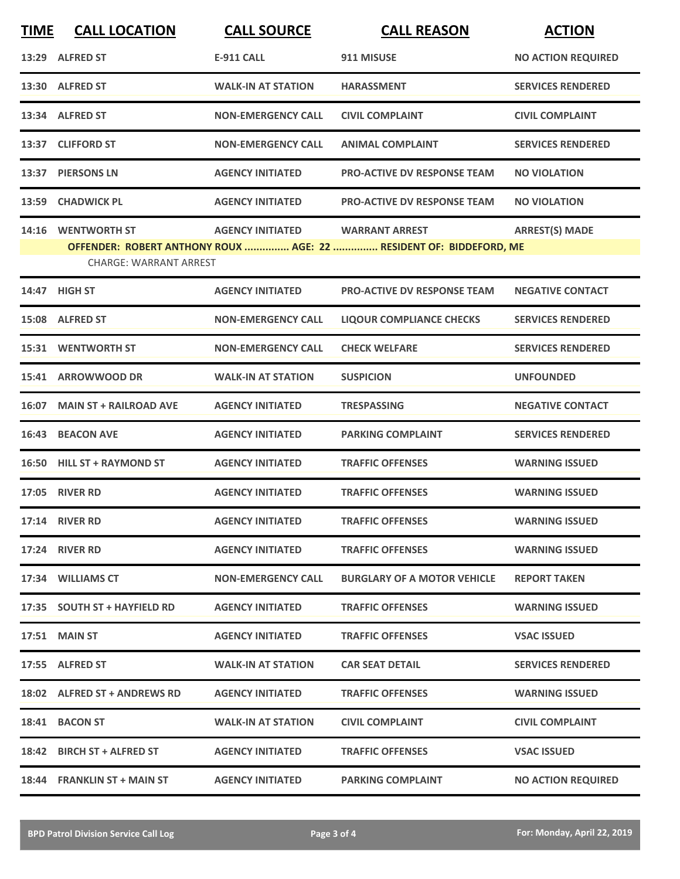| <b>TIME</b> | <b>CALL LOCATION</b>          | <b>CALL SOURCE</b>        | <b>CALL REASON</b>                                                 | <b>ACTION</b>             |
|-------------|-------------------------------|---------------------------|--------------------------------------------------------------------|---------------------------|
|             | 13:29 ALFRED ST               | <b>E-911 CALL</b>         | 911 MISUSE                                                         | <b>NO ACTION REQUIRED</b> |
|             | 13:30 ALFRED ST               | <b>WALK-IN AT STATION</b> | <b>HARASSMENT</b>                                                  | <b>SERVICES RENDERED</b>  |
|             | 13:34 ALFRED ST               | <b>NON-EMERGENCY CALL</b> | <b>CIVIL COMPLAINT</b>                                             | <b>CIVIL COMPLAINT</b>    |
|             | 13:37 CLIFFORD ST             | <b>NON-EMERGENCY CALL</b> | <b>ANIMAL COMPLAINT</b>                                            | <b>SERVICES RENDERED</b>  |
|             | 13:37 PIERSONS LN             | <b>AGENCY INITIATED</b>   | <b>PRO-ACTIVE DV RESPONSE TEAM</b>                                 | <b>NO VIOLATION</b>       |
|             | 13:59 CHADWICK PL             | <b>AGENCY INITIATED</b>   | <b>PRO-ACTIVE DV RESPONSE TEAM</b>                                 | <b>NO VIOLATION</b>       |
|             | 14:16 WENTWORTH ST            | <b>AGENCY INITIATED</b>   | <b>WARRANT ARREST</b>                                              | <b>ARREST(S) MADE</b>     |
|             |                               |                           | OFFENDER: ROBERT ANTHONY ROUX  AGE: 22  RESIDENT OF: BIDDEFORD, ME |                           |
|             | <b>CHARGE: WARRANT ARREST</b> |                           |                                                                    |                           |
|             | 14:47 HIGH ST                 | <b>AGENCY INITIATED</b>   | <b>PRO-ACTIVE DV RESPONSE TEAM</b>                                 | <b>NEGATIVE CONTACT</b>   |
|             | 15:08 ALFRED ST               | <b>NON-EMERGENCY CALL</b> | <b>LIQOUR COMPLIANCE CHECKS</b>                                    | <b>SERVICES RENDERED</b>  |
|             | <b>15:31 WENTWORTH ST</b>     | <b>NON-EMERGENCY CALL</b> | <b>CHECK WELFARE</b>                                               | <b>SERVICES RENDERED</b>  |
|             | 15:41 ARROWWOOD DR            | <b>WALK-IN AT STATION</b> | <b>SUSPICION</b>                                                   | <b>UNFOUNDED</b>          |
|             | 16:07 MAIN ST + RAILROAD AVE  | <b>AGENCY INITIATED</b>   | <b>TRESPASSING</b>                                                 | <b>NEGATIVE CONTACT</b>   |
|             | 16:43 BEACON AVE              | <b>AGENCY INITIATED</b>   | <b>PARKING COMPLAINT</b>                                           | <b>SERVICES RENDERED</b>  |
|             | 16:50 HILL ST + RAYMOND ST    | <b>AGENCY INITIATED</b>   | <b>TRAFFIC OFFENSES</b>                                            | <b>WARNING ISSUED</b>     |
|             | <b>17:05 RIVER RD</b>         | <b>AGENCY INITIATED</b>   | <b>TRAFFIC OFFENSES</b>                                            | <b>WARNING ISSUED</b>     |
|             | 17:14 RIVER RD                | <b>AGENCY INITIATED</b>   | <b>TRAFFIC OFFENSES</b>                                            | <b>WARNING ISSUED</b>     |
|             | 17:24 RIVER RD                | <b>AGENCY INITIATED</b>   | <b>TRAFFIC OFFENSES</b>                                            | <b>WARNING ISSUED</b>     |
|             | 17:34 WILLIAMS CT             | <b>NON-EMERGENCY CALL</b> | <b>BURGLARY OF A MOTOR VEHICLE</b>                                 | <b>REPORT TAKEN</b>       |
|             | 17:35 SOUTH ST + HAYFIELD RD  | <b>AGENCY INITIATED</b>   | <b>TRAFFIC OFFENSES</b>                                            | <b>WARNING ISSUED</b>     |
|             | 17:51 MAIN ST                 | <b>AGENCY INITIATED</b>   | <b>TRAFFIC OFFENSES</b>                                            | <b>VSAC ISSUED</b>        |
|             | 17:55 ALFRED ST               | <b>WALK-IN AT STATION</b> | <b>CAR SEAT DETAIL</b>                                             | <b>SERVICES RENDERED</b>  |
|             | 18:02 ALFRED ST + ANDREWS RD  | <b>AGENCY INITIATED</b>   | <b>TRAFFIC OFFENSES</b>                                            | <b>WARNING ISSUED</b>     |
|             | 18:41 BACON ST                | <b>WALK-IN AT STATION</b> | <b>CIVIL COMPLAINT</b>                                             | <b>CIVIL COMPLAINT</b>    |
|             | 18:42 BIRCH ST + ALFRED ST    | <b>AGENCY INITIATED</b>   | <b>TRAFFIC OFFENSES</b>                                            | <b>VSAC ISSUED</b>        |
|             | 18:44 FRANKLIN ST + MAIN ST   | <b>AGENCY INITIATED</b>   | <b>PARKING COMPLAINT</b>                                           | <b>NO ACTION REQUIRED</b> |